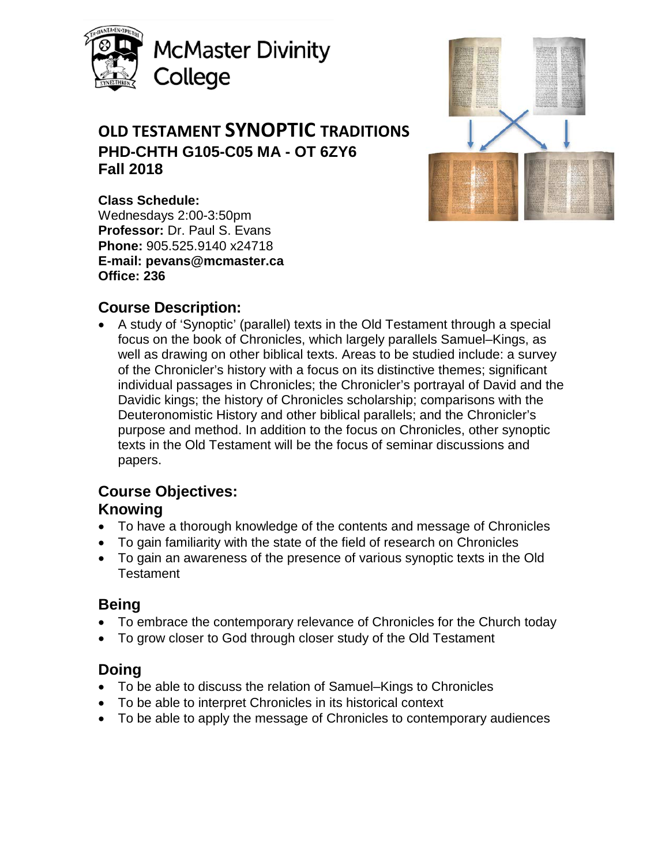

**McMaster Divinity** College

# **OLD TESTAMENT SYNOPTIC TRADITIONS PHD-CHTH G105-C05 MA - OT 6ZY6 Fall 2018**



# **Class Schedule:**

Wednesdays 2:00-3:50pm **Professor:** Dr. Paul S. Evans **Phone:** 905.525.9140 x24718 **E-mail: pevans@mcmaster.ca Office: 236**

# **Course Description:**

• A study of 'Synoptic' (parallel) texts in the Old Testament through a special focus on the book of Chronicles, which largely parallels Samuel–Kings, as well as drawing on other biblical texts. Areas to be studied include: a survey of the Chronicler's history with a focus on its distinctive themes; significant individual passages in Chronicles; the Chronicler's portrayal of David and the Davidic kings; the history of Chronicles scholarship; comparisons with the Deuteronomistic History and other biblical parallels; and the Chronicler's purpose and method. In addition to the focus on Chronicles, other synoptic texts in the Old Testament will be the focus of seminar discussions and papers.

# **Course Objectives:**

# **Knowing**

- To have a thorough knowledge of the contents and message of Chronicles
- To gain familiarity with the state of the field of research on Chronicles
- To gain an awareness of the presence of various synoptic texts in the Old **Testament**

# **Being**

- To embrace the contemporary relevance of Chronicles for the Church today
- To grow closer to God through closer study of the Old Testament

# **Doing**

- To be able to discuss the relation of Samuel–Kings to Chronicles
- To be able to interpret Chronicles in its historical context
- To be able to apply the message of Chronicles to contemporary audiences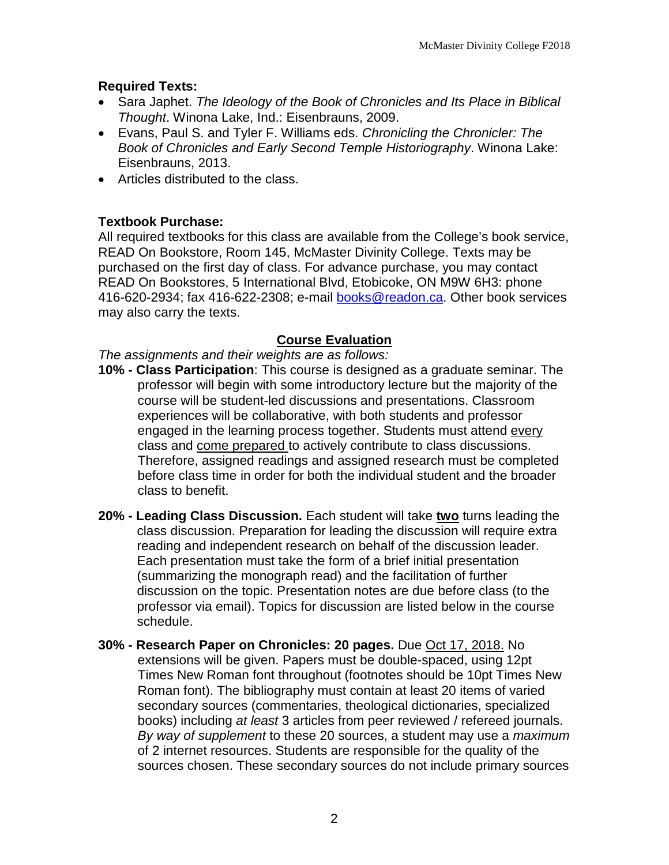## **Required Texts:**

- Sara Japhet. *The Ideology of the Book of Chronicles and Its Place in Biblical Thought*. Winona Lake, Ind.: Eisenbrauns, 2009.
- Evans, Paul S. and Tyler F. Williams eds. *Chronicling the Chronicler: The Book of Chronicles and Early Second Temple Historiography*. Winona Lake: Eisenbrauns, 2013.
- Articles distributed to the class.

### **Textbook Purchase:**

All required textbooks for this class are available from the College's book service, READ On Bookstore, Room 145, McMaster Divinity College. Texts may be purchased on the first day of class. For advance purchase, you may contact READ On Bookstores, 5 International Blvd, Etobicoke, ON M9W 6H3: phone 416-620-2934; fax 416-622-2308; e-mail [books@readon.ca.](mailto:books@readon.ca) Other book services may also carry the texts.

### **Course Evaluation**

*The assignments and their weights are as follows:*

- **10% - Class Participation**: This course is designed as a graduate seminar. The professor will begin with some introductory lecture but the majority of the course will be student-led discussions and presentations. Classroom experiences will be collaborative, with both students and professor engaged in the learning process together. Students must attend every class and come prepared to actively contribute to class discussions. Therefore, assigned readings and assigned research must be completed before class time in order for both the individual student and the broader class to benefit.
- **20% - Leading Class Discussion.** Each student will take **two** turns leading the class discussion. Preparation for leading the discussion will require extra reading and independent research on behalf of the discussion leader. Each presentation must take the form of a brief initial presentation (summarizing the monograph read) and the facilitation of further discussion on the topic. Presentation notes are due before class (to the professor via email). Topics for discussion are listed below in the course schedule.
- **30% - Research Paper on Chronicles: 20 pages.** Due Oct 17, 2018. No extensions will be given. Papers must be double-spaced, using 12pt Times New Roman font throughout (footnotes should be 10pt Times New Roman font). The bibliography must contain at least 20 items of varied secondary sources (commentaries, theological dictionaries, specialized books) including *at least* 3 articles from peer reviewed / refereed journals. *By way of supplement* to these 20 sources, a student may use a *maximum* of 2 internet resources. Students are responsible for the quality of the sources chosen. These secondary sources do not include primary sources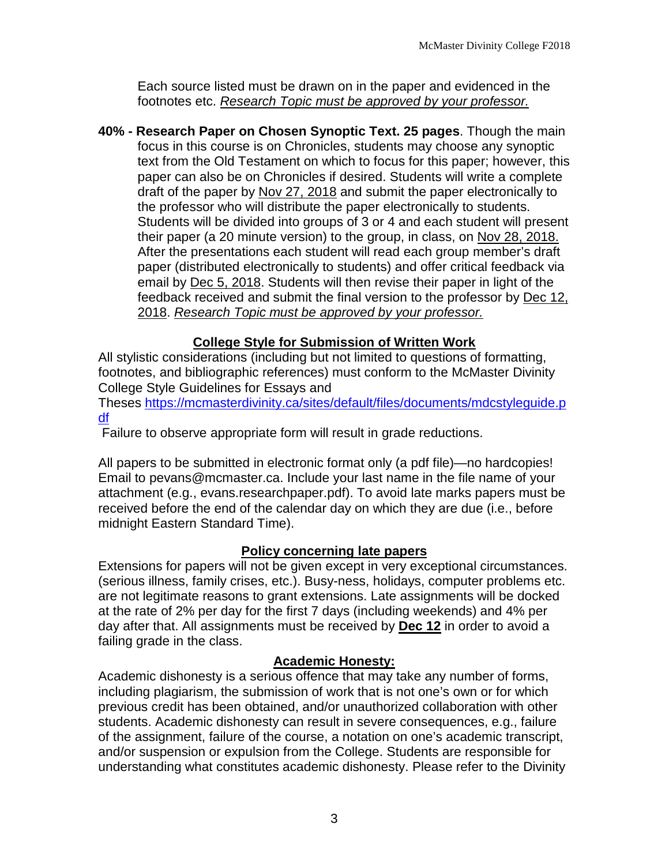Each source listed must be drawn on in the paper and evidenced in the footnotes etc. *Research Topic must be approved by your professor.*

**40% - Research Paper on Chosen Synoptic Text. 25 pages**. Though the main focus in this course is on Chronicles, students may choose any synoptic text from the Old Testament on which to focus for this paper; however, this paper can also be on Chronicles if desired. Students will write a complete draft of the paper by Nov 27, 2018 and submit the paper electronically to the professor who will distribute the paper electronically to students. Students will be divided into groups of 3 or 4 and each student will present their paper (a 20 minute version) to the group, in class, on Nov 28, 2018. After the presentations each student will read each group member's draft paper (distributed electronically to students) and offer critical feedback via email by Dec 5, 2018. Students will then revise their paper in light of the feedback received and submit the final version to the professor by Dec 12, 2018. *Research Topic must be approved by your professor.*

# **College Style for Submission of Written Work**

All stylistic considerations (including but not limited to questions of formatting, footnotes, and bibliographic references) must conform to the McMaster Divinity College Style Guidelines for Essays and

Theses [https://mcmasterdivinity.ca/sites/default/files/documents/mdcstyleguide.p](https://mcmasterdivinity.ca/sites/default/files/documents/mdcstyleguide.pdf) [df](https://mcmasterdivinity.ca/sites/default/files/documents/mdcstyleguide.pdf)

Failure to observe appropriate form will result in grade reductions.

All papers to be submitted in electronic format only (a pdf file)—no hardcopies! Email to pevans@mcmaster.ca. Include your last name in the file name of your attachment (e.g., evans.researchpaper.pdf). To avoid late marks papers must be received before the end of the calendar day on which they are due (i.e., before midnight Eastern Standard Time).

## **Policy concerning late papers**

Extensions for papers will not be given except in very exceptional circumstances. (serious illness, family crises, etc.). Busy-ness, holidays, computer problems etc. are not legitimate reasons to grant extensions. Late assignments will be docked at the rate of 2% per day for the first 7 days (including weekends) and 4% per day after that. All assignments must be received by **Dec 12** in order to avoid a failing grade in the class.

## **Academic Honesty:**

Academic dishonesty is a serious offence that may take any number of forms, including plagiarism, the submission of work that is not one's own or for which previous credit has been obtained, and/or unauthorized collaboration with other students. Academic dishonesty can result in severe consequences, e.g., failure of the assignment, failure of the course, a notation on one's academic transcript, and/or suspension or expulsion from the College. Students are responsible for understanding what constitutes academic dishonesty. Please refer to the Divinity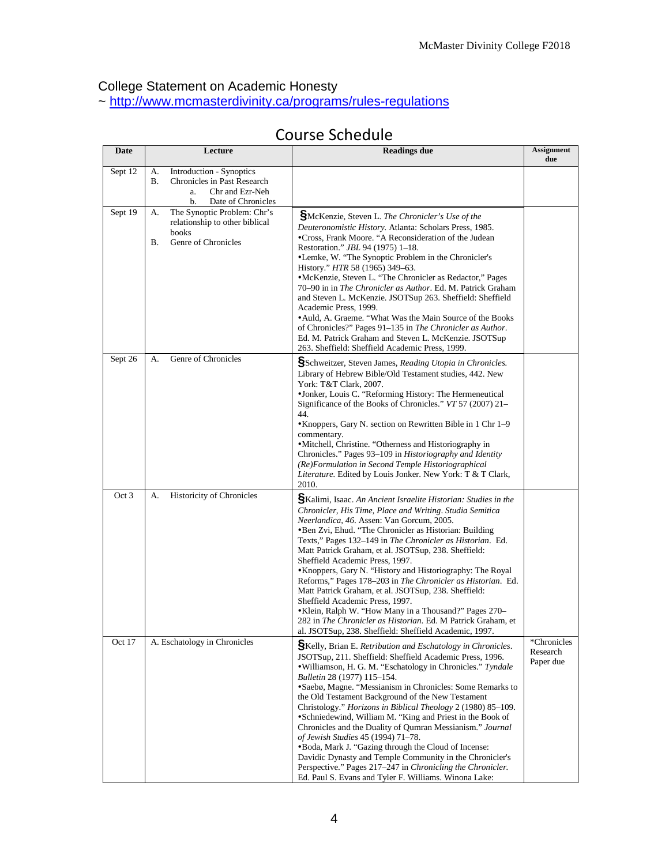### College Statement on Academic Honesty

~<http://www.mcmasterdivinity.ca/programs/rules-regulations>

| Date            | Lecture                                                                                                                  | <b>Readings due</b>                                                                                                                                                                                                                                                                                                                                                                                                                                                                                                                                                                                                                                                                                                                                                                                                       | <b>Assignment</b><br>due |
|-----------------|--------------------------------------------------------------------------------------------------------------------------|---------------------------------------------------------------------------------------------------------------------------------------------------------------------------------------------------------------------------------------------------------------------------------------------------------------------------------------------------------------------------------------------------------------------------------------------------------------------------------------------------------------------------------------------------------------------------------------------------------------------------------------------------------------------------------------------------------------------------------------------------------------------------------------------------------------------------|--------------------------|
| Sept 12         | А.<br>Introduction - Synoptics<br>В.<br>Chronicles in Past Research<br>Chr and Ezr-Neh<br>a.<br>b.<br>Date of Chronicles |                                                                                                                                                                                                                                                                                                                                                                                                                                                                                                                                                                                                                                                                                                                                                                                                                           |                          |
| Sept 19         | The Synoptic Problem: Chr's<br>А.<br>relationship to other biblical<br>books<br>Genre of Chronicles<br>В.                | SMcKenzie, Steven L. The Chronicler's Use of the<br>Deuteronomistic History. Atlanta: Scholars Press, 1985.<br>•Cross, Frank Moore. "A Reconsideration of the Judean<br>Restoration." JBL 94 (1975) 1-18.<br>•Lemke, W. "The Synoptic Problem in the Chronicler's<br>History." HTR 58 (1965) 349–63.<br>•McKenzie, Steven L. "The Chronicler as Redactor," Pages<br>70–90 in in The Chronicler as Author. Ed. M. Patrick Graham<br>and Steven L. McKenzie. JSOTSup 263. Sheffield: Sheffield<br>Academic Press, 1999.<br>• Auld, A. Graeme. "What Was the Main Source of the Books"<br>of Chronicles?" Pages 91-135 in The Chronicler as Author.<br>Ed. M. Patrick Graham and Steven L. McKenzie. JSOTSup<br>263. Sheffield: Sheffield Academic Press, 1999.                                                              |                          |
| Sept 26         | Genre of Chronicles<br>А.                                                                                                | SSchweitzer, Steven James, Reading Utopia in Chronicles.<br>Library of Hebrew Bible/Old Testament studies, 442. New<br>York: T&T Clark, 2007.<br>•Jonker, Louis C. "Reforming History: The Hermeneutical<br>Significance of the Books of Chronicles." VT 57 (2007) 21–<br>44.<br>• Knoppers, Gary N. section on Rewritten Bible in 1 Chr 1–9<br>commentary.<br>•Mitchell, Christine. "Otherness and Historiography in<br>Chronicles." Pages 93-109 in Historiography and Identity<br>(Re)Formulation in Second Temple Historiographical<br>Literature. Edited by Louis Jonker. New York: T & T Clark,<br>2010.                                                                                                                                                                                                            |                          |
| Oct 3<br>Oct 17 | <b>Historicity of Chronicles</b><br>А.<br>A. Eschatology in Chronicles                                                   | SKalimi, Isaac. An Ancient Israelite Historian: Studies in the<br>Chronicler, His Time, Place and Writing. Studia Semitica<br>Neerlandica, 46. Assen: Van Gorcum, 2005.<br>•Ben Zvi, Ehud. "The Chronicler as Historian: Building<br>Texts," Pages 132-149 in The Chronicler as Historian. Ed.<br>Matt Patrick Graham, et al. JSOTSup, 238. Sheffield:<br>Sheffield Academic Press, 1997.<br>• Knoppers, Gary N. "History and Historiography: The Royal<br>Reforms," Pages 178-203 in The Chronicler as Historian. Ed.<br>Matt Patrick Graham, et al. JSOTSup, 238. Sheffield:<br>Sheffield Academic Press, 1997.<br>• Klein, Ralph W. "How Many in a Thousand?" Pages 270-<br>282 in The Chronicler as Historian. Ed. M Patrick Graham, et<br>al. JSOTSup, 238. Sheffield: Sheffield Academic, 1997.                     | *Chronicles              |
|                 |                                                                                                                          | SKelly, Brian E. Retribution and Eschatology in Chronicles.<br>JSOTSup, 211. Sheffield: Sheffield Academic Press, 1996.<br>• Williamson, H. G. M. "Eschatology in Chronicles." Tyndale<br><i>Bulletin</i> 28 (1977) 115–154.<br>•Saebø, Magne. "Messianism in Chronicles: Some Remarks to<br>the Old Testament Background of the New Testament<br>Christology." Horizons in Biblical Theology 2 (1980) 85-109.<br>•Schniedewind, William M. "King and Priest in the Book of<br>Chronicles and the Duality of Qumran Messianism." Journal<br>of Jewish Studies 45 (1994) 71-78.<br>•Boda, Mark J. "Gazing through the Cloud of Incense:<br>Davidic Dynasty and Temple Community in the Chronicler's<br>Perspective." Pages 217–247 in Chronicling the Chronicler.<br>Ed. Paul S. Evans and Tyler F. Williams. Winona Lake: | Research<br>Paper due    |

# Course Schedule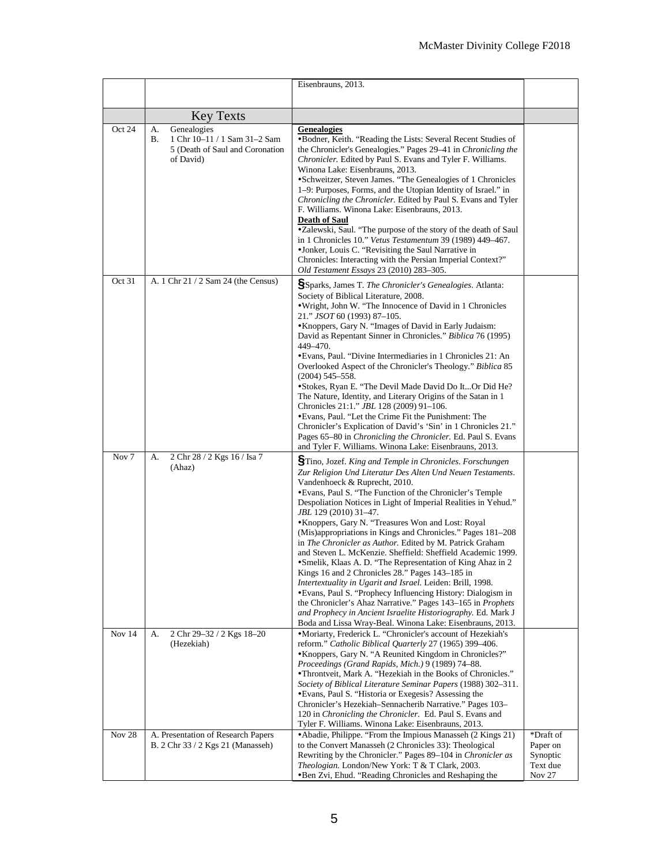|                           |                                                                                     | Eisenbrauns, 2013.                                                                                                                                                                                                                                                                                                                                                                                                                                                                                                                                                                                                                                                                                                                                                                                                                                                                                                                                                                                                        |                                            |
|---------------------------|-------------------------------------------------------------------------------------|---------------------------------------------------------------------------------------------------------------------------------------------------------------------------------------------------------------------------------------------------------------------------------------------------------------------------------------------------------------------------------------------------------------------------------------------------------------------------------------------------------------------------------------------------------------------------------------------------------------------------------------------------------------------------------------------------------------------------------------------------------------------------------------------------------------------------------------------------------------------------------------------------------------------------------------------------------------------------------------------------------------------------|--------------------------------------------|
|                           |                                                                                     |                                                                                                                                                                                                                                                                                                                                                                                                                                                                                                                                                                                                                                                                                                                                                                                                                                                                                                                                                                                                                           |                                            |
|                           | <b>Key Texts</b>                                                                    |                                                                                                                                                                                                                                                                                                                                                                                                                                                                                                                                                                                                                                                                                                                                                                                                                                                                                                                                                                                                                           |                                            |
| Oct 24                    | Genealogies<br>А.                                                                   | <b>Genealogies</b>                                                                                                                                                                                                                                                                                                                                                                                                                                                                                                                                                                                                                                                                                                                                                                                                                                                                                                                                                                                                        |                                            |
|                           | 1 Chr 10-11 / 1 Sam 31-2 Sam<br>В.<br>5 (Death of Saul and Coronation<br>of David)  | •Bodner, Keith. "Reading the Lists: Several Recent Studies of<br>the Chronicler's Genealogies." Pages 29–41 in Chronicling the<br><i>Chronicler.</i> Edited by Paul S. Evans and Tyler F. Williams.<br>Winona Lake: Eisenbrauns, 2013.<br>•Schweitzer, Steven James. "The Genealogies of 1 Chronicles<br>1–9: Purposes, Forms, and the Utopian Identity of Israel." in<br>Chronicling the Chronicler. Edited by Paul S. Evans and Tyler<br>F. Williams. Winona Lake: Eisenbrauns, 2013.<br><b>Death of Saul</b><br>.Zalewski, Saul. "The purpose of the story of the death of Saul<br>in 1 Chronicles 10." Vetus Testamentum 39 (1989) 449–467.<br>•Jonker, Louis C. "Revisiting the Saul Narrative in<br>Chronicles: Interacting with the Persian Imperial Context?"<br>Old Testament Essays 23 (2010) 283-305.                                                                                                                                                                                                          |                                            |
| Oct 31                    | A. 1 Chr 21 / 2 Sam 24 (the Census)                                                 | SSparks, James T. The Chronicler's Genealogies. Atlanta:                                                                                                                                                                                                                                                                                                                                                                                                                                                                                                                                                                                                                                                                                                                                                                                                                                                                                                                                                                  |                                            |
|                           |                                                                                     | Society of Biblical Literature, 2008.<br>. Wright, John W. "The Innocence of David in 1 Chronicles<br>21." JSOT 60 (1993) 87-105.<br>• Knoppers, Gary N. "Images of David in Early Judaism:<br>David as Repentant Sinner in Chronicles." Biblica 76 (1995)<br>449-470.<br>• Evans, Paul. "Divine Intermediaries in 1 Chronicles 21: An<br>Overlooked Aspect of the Chronicler's Theology." Biblica 85<br>$(2004)$ 545-558.<br>• Stokes, Ryan E. "The Devil Made David Do ItOr Did He?<br>The Nature, Identity, and Literary Origins of the Satan in 1<br>Chronicles 21:1." <i>JBL</i> 128 (2009) 91-106.<br>• Evans, Paul. "Let the Crime Fit the Punishment: The<br>Chronicler's Explication of David's 'Sin' in 1 Chronicles 21."<br>Pages 65-80 in Chronicling the Chronicler. Ed. Paul S. Evans<br>and Tyler F. Williams. Winona Lake: Eisenbrauns, 2013.                                                                                                                                                             |                                            |
| Nov <sub>7</sub>          | 2 Chr 28 / 2 Kgs 16 / Isa 7<br>А.<br>(Ahaz)                                         | STino, Jozef. King and Temple in Chronicles. Forschungen<br>Zur Religion Und Literatur Des Alten Und Neuen Testaments.<br>Vandenhoeck & Ruprecht, 2010.<br>• Evans, Paul S. "The Function of the Chronicler's Temple<br>Despoliation Notices in Light of Imperial Realities in Yehud."<br><i>JBL</i> 129 (2010) 31–47.<br>• Knoppers, Gary N. "Treasures Won and Lost: Royal<br>(Mis)appropriations in Kings and Chronicles." Pages 181–208<br>in <i>The Chronicler as Author</i> . Edited by M. Patrick Graham<br>and Steven L. McKenzie. Sheffield: Sheffield Academic 1999.<br>·Smelik, Klaas A. D. "The Representation of King Ahaz in 2<br>Kings 16 and 2 Chronicles 28." Pages 143–185 in<br>Intertextuality in Ugarit and Israel. Leiden: Brill, 1998.<br>• Evans, Paul S. "Prophecy Influencing History: Dialogism in<br>the Chronicler's Ahaz Narrative." Pages 143-165 in Prophets<br>and Prophecy in Ancient Israelite Historiography. Ed. Mark J<br>Boda and Lissa Wray-Beal. Winona Lake: Eisenbrauns, 2013. |                                            |
| Nov $14$<br><b>Nov 28</b> | 2 Chr 29-32 / 2 Kgs 18-20<br>А.<br>(Hezekiah)<br>A. Presentation of Research Papers | •Moriarty, Frederick L. "Chronicler's account of Hezekiah's<br>reform." Catholic Biblical Quarterly 27 (1965) 399-406.<br>• Knoppers, Gary N. "A Reunited Kingdom in Chronicles?"<br>Proceedings (Grand Rapids, Mich.) 9 (1989) 74-88.<br>• Throntveit, Mark A. "Hezekiah in the Books of Chronicles."<br>Society of Biblical Literature Seminar Papers (1988) 302–311.<br>• Evans, Paul S. "Historia or Exegesis? Assessing the<br>Chronicler's Hezekiah-Sennacherib Narrative." Pages 103-<br>120 in <i>Chronicling the Chronicler.</i> Ed. Paul S. Evans and<br>Tyler F. Williams. Winona Lake: Eisenbrauns, 2013.<br>• Abadie, Philippe. "From the Impious Manasseh (2 Kings 21)                                                                                                                                                                                                                                                                                                                                      | *Draft of                                  |
|                           | B. 2 Chr 33 / 2 Kgs 21 (Manasseh)                                                   | to the Convert Manasseh (2 Chronicles 33): Theological<br>Rewriting by the Chronicler." Pages 89–104 in Chronicler as<br>Theologian. London/New York: T & T Clark, 2003.<br>•Ben Zvi, Ehud. "Reading Chronicles and Reshaping the                                                                                                                                                                                                                                                                                                                                                                                                                                                                                                                                                                                                                                                                                                                                                                                         | Paper on<br>Synoptic<br>Text due<br>Nov 27 |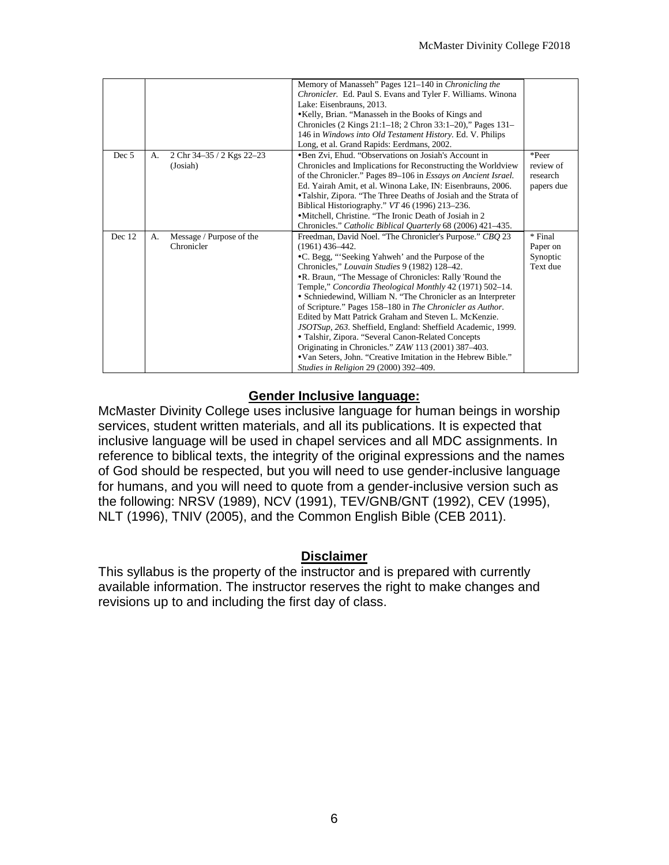|        |    |                                        | Memory of Manasseh" Pages 121-140 in Chronicling the<br>Chronicler. Ed. Paul S. Evans and Tyler F. Williams. Winona<br>Lake: Eisenbrauns, 2013.<br>•Kelly, Brian. "Manasseh in the Books of Kings and<br>Chronicles (2 Kings 21:1–18; 2 Chron 33:1–20)," Pages 131–<br>146 in Windows into Old Testament History. Ed. V. Philips<br>Long, et al. Grand Rapids: Eerdmans, 2002.                                                                                                                                                                                                                                                                                                                                                                                                                |                                              |
|--------|----|----------------------------------------|-----------------------------------------------------------------------------------------------------------------------------------------------------------------------------------------------------------------------------------------------------------------------------------------------------------------------------------------------------------------------------------------------------------------------------------------------------------------------------------------------------------------------------------------------------------------------------------------------------------------------------------------------------------------------------------------------------------------------------------------------------------------------------------------------|----------------------------------------------|
| Dec 5  | А. | 2 Chr 34-35 / 2 Kgs 22-23<br>(Josiah)  | •Ben Zvi, Ehud. "Observations on Josiah's Account in<br>Chronicles and Implications for Reconstructing the Worldview<br>of the Chronicler." Pages 89–106 in <i>Essays on Ancient Israel.</i><br>Ed. Yairah Amit, et al. Winona Lake, IN: Eisenbrauns, 2006.<br>•Talshir, Zipora. "The Three Deaths of Josiah and the Strata of<br>Biblical Historiography." VT 46 (1996) 213–236.<br>•Mitchell, Christine. "The Ironic Death of Josiah in 2<br>Chronicles." Catholic Biblical Quarterly 68 (2006) 421-435.                                                                                                                                                                                                                                                                                    | *Peer<br>review of<br>research<br>papers due |
| Dec 12 | А. | Message / Purpose of the<br>Chronicler | Freedman, David Noel. "The Chronicler's Purpose." CBQ 23<br>$(1961)$ 436-442.<br>•C. Begg, "Seeking Yahweh' and the Purpose of the<br>Chronicles," Louvain Studies 9 (1982) 128-42.<br>.R. Braun, "The Message of Chronicles: Rally 'Round the<br>Temple," Concordia Theological Monthly 42 (1971) 502-14.<br>• Schniedewind, William N. "The Chronicler as an Interpreter<br>of Scripture." Pages 158–180 in The Chronicler as Author.<br>Edited by Matt Patrick Graham and Steven L. McKenzie.<br>JSOTSup, 263. Sheffield, England: Sheffield Academic, 1999.<br>• Talshir, Zipora. "Several Canon-Related Concepts<br>Originating in Chronicles." ZAW 113 (2001) 387–403.<br>•Van Seters, John. "Creative Imitation in the Hebrew Bible."<br><i>Studies in Religion 29 (2000) 392–409.</i> | * Final<br>Paper on<br>Synoptic<br>Text due  |

### **Gender Inclusive language:**

McMaster Divinity College uses inclusive language for human beings in worship services, student written materials, and all its publications. It is expected that inclusive language will be used in chapel services and all MDC assignments. In reference to biblical texts, the integrity of the original expressions and the names of God should be respected, but you will need to use gender-inclusive language for humans, and you will need to quote from a gender-inclusive version such as the following: NRSV (1989), NCV (1991), TEV/GNB/GNT (1992), CEV (1995), NLT (1996), TNIV (2005), and the Common English Bible (CEB 2011).

#### **Disclaimer**

This syllabus is the property of the instructor and is prepared with currently available information. The instructor reserves the right to make changes and revisions up to and including the first day of class.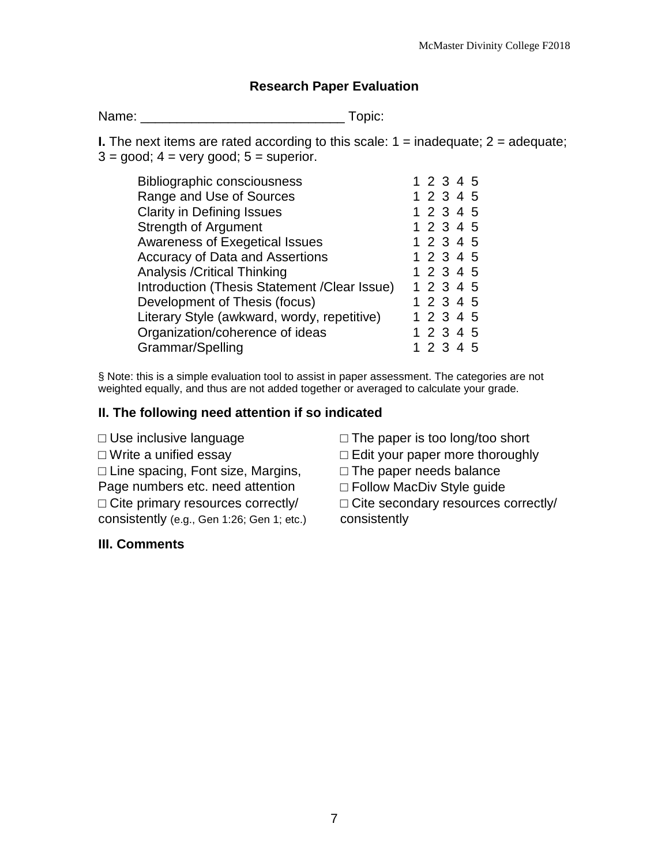### **Research Paper Evaluation**

Name: \_\_\_\_\_\_\_\_\_\_\_\_\_\_\_\_\_\_\_\_\_\_\_\_\_\_\_\_ Topic:

**I.** The next items are rated according to this scale:  $1 =$  inadequate;  $2 =$  adequate;  $3 = \text{good}$ ;  $4 = \text{very good}$ ;  $5 = \text{superior}$ .

| <b>Bibliographic consciousness</b>            | 1 2 3 4 5 |  |  |
|-----------------------------------------------|-----------|--|--|
| Range and Use of Sources                      | 1 2 3 4 5 |  |  |
| <b>Clarity in Defining Issues</b>             | 1 2 3 4 5 |  |  |
| <b>Strength of Argument</b>                   | 1 2 3 4 5 |  |  |
| <b>Awareness of Exegetical Issues</b>         | 1 2 3 4 5 |  |  |
| <b>Accuracy of Data and Assertions</b>        | 1 2 3 4 5 |  |  |
| <b>Analysis / Critical Thinking</b>           | 1 2 3 4 5 |  |  |
| Introduction (Thesis Statement / Clear Issue) | 1 2 3 4 5 |  |  |
| Development of Thesis (focus)                 | 1 2 3 4 5 |  |  |
| Literary Style (awkward, wordy, repetitive)   | 1 2 3 4 5 |  |  |
| Organization/coherence of ideas               | 1 2 3 4 5 |  |  |
| Grammar/Spelling                              | 1 2 3 4 5 |  |  |
|                                               |           |  |  |

§ Note: this is a simple evaluation tool to assist in paper assessment. The categories are not weighted equally, and thus are not added together or averaged to calculate your grade.

#### **II. The following need attention if so indicated**

□ Use inclusive language  $□$  The paper is too long/too short  $□$  Write a unified essay  $□$  Edit your paper more thoroughl □ Line spacing, Font size, Margins, Page numbers etc. need attention  $\Box$  Cite primary resources correctly/ consistently (e.g., Gen 1:26; Gen 1; etc.)

#### **III. Comments**

□ Edit your paper more thoroughly

 $\square$  The paper needs balance

□ Follow MacDiv Style quide

□ Cite secondary resources correctly/ consistently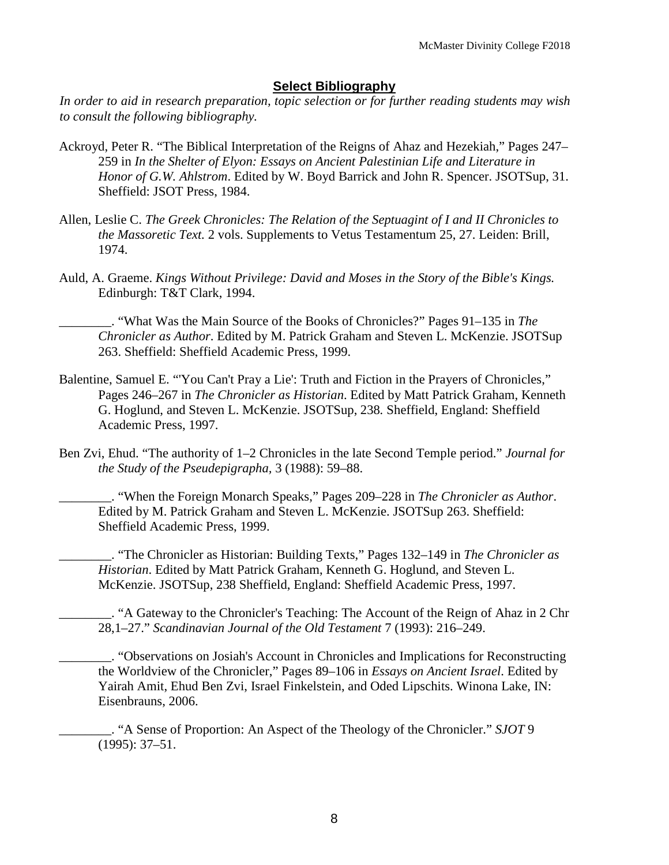#### **Select Bibliography**

*In order to aid in research preparation, topic selection or for further reading students may wish to consult the following bibliography.*

- Ackroyd, Peter R. "The Biblical Interpretation of the Reigns of Ahaz and Hezekiah," Pages 247– 259 in *In the Shelter of Elyon: Essays on Ancient Palestinian Life and Literature in Honor of G.W. Ahlstrom*. Edited by W. Boyd Barrick and John R. Spencer. JSOTSup, 31. Sheffield: JSOT Press, 1984.
- Allen, Leslie C. *The Greek Chronicles: The Relation of the Septuagint of I and II Chronicles to the Massoretic Text.* 2 vols. Supplements to Vetus Testamentum 25, 27. Leiden: Brill, 1974.
- Auld, A. Graeme. *Kings Without Privilege: David and Moses in the Story of the Bible's Kings.* Edinburgh: T&T Clark, 1994.

\_\_\_\_\_\_\_\_. "What Was the Main Source of the Books of Chronicles?" Pages 91–135 in *The Chronicler as Author*. Edited by M. Patrick Graham and Steven L. McKenzie. JSOTSup 263. Sheffield: Sheffield Academic Press, 1999.

- Balentine, Samuel E. "'You Can't Pray a Lie': Truth and Fiction in the Prayers of Chronicles," Pages 246–267 in *The Chronicler as Historian*. Edited by Matt Patrick Graham, Kenneth G. Hoglund, and Steven L. McKenzie. JSOTSup, 238*.* Sheffield, England: Sheffield Academic Press, 1997.
- Ben Zvi, Ehud. "The authority of 1–2 Chronicles in the late Second Temple period." *Journal for the Study of the Pseudepigrapha,* 3 (1988): 59–88.

\_\_\_\_\_\_\_\_. "When the Foreign Monarch Speaks," Pages 209–228 in *The Chronicler as Author*. Edited by M. Patrick Graham and Steven L. McKenzie. JSOTSup 263. Sheffield: Sheffield Academic Press, 1999.

\_\_\_\_\_\_\_\_. "The Chronicler as Historian: Building Texts," Pages 132–149 in *The Chronicler as Historian*. Edited by Matt Patrick Graham, Kenneth G. Hoglund, and Steven L. McKenzie. JSOTSup, 238 Sheffield, England: Sheffield Academic Press, 1997.

\_\_\_\_\_\_\_\_. "A Gateway to the Chronicler's Teaching: The Account of the Reign of Ahaz in 2 Chr 28,1–27." *Scandinavian Journal of the Old Testament* 7 (1993): 216–249.

\_\_\_\_\_\_\_\_. "Observations on Josiah's Account in Chronicles and Implications for Reconstructing the Worldview of the Chronicler," Pages 89–106 in *Essays on Ancient Israel*. Edited by Yairah Amit, Ehud Ben Zvi, Israel Finkelstein, and Oded Lipschits. Winona Lake, IN: Eisenbrauns, 2006.

\_\_\_\_\_\_\_\_. "A Sense of Proportion: An Aspect of the Theology of the Chronicler." *SJOT* 9 (1995): 37–51.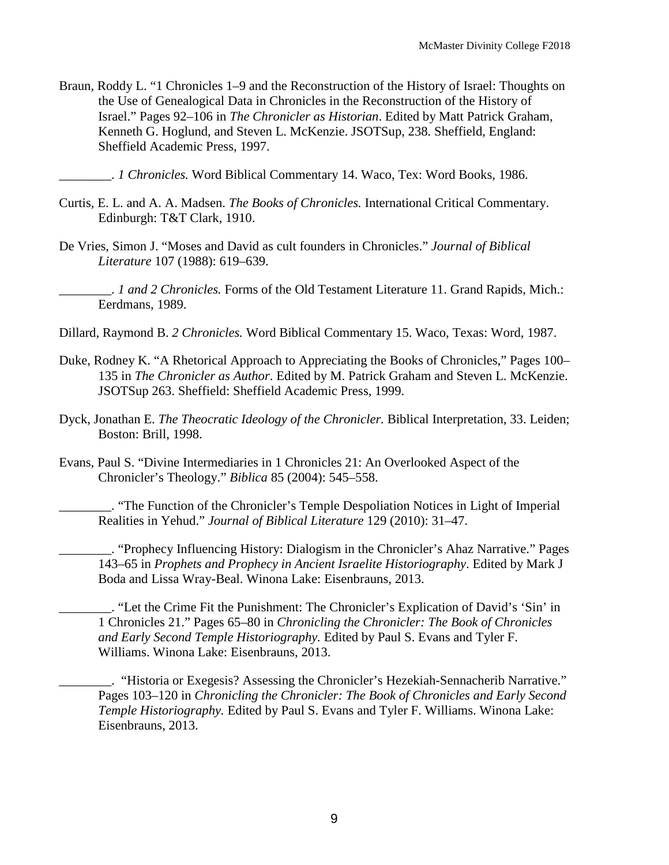Braun, Roddy L. "1 Chronicles 1–9 and the Reconstruction of the History of Israel: Thoughts on the Use of Genealogical Data in Chronicles in the Reconstruction of the History of Israel." Pages 92–106 in *The Chronicler as Historian*. Edited by Matt Patrick Graham, Kenneth G. Hoglund, and Steven L. McKenzie. JSOTSup, 238*.* Sheffield, England: Sheffield Academic Press, 1997.

\_\_\_\_\_\_\_\_. *1 Chronicles.* Word Biblical Commentary 14. Waco, Tex: Word Books, 1986.

- Curtis, E. L. and A. A. Madsen. *The Books of Chronicles.* International Critical Commentary. Edinburgh: T&T Clark, 1910.
- De Vries, Simon J. "Moses and David as cult founders in Chronicles." *Journal of Biblical Literature* 107 (1988): 619–639.
	- \_\_\_\_\_\_\_\_. *1 and 2 Chronicles.* Forms of the Old Testament Literature 11. Grand Rapids, Mich.: Eerdmans, 1989.
- Dillard, Raymond B. *2 Chronicles.* Word Biblical Commentary 15. Waco, Texas: Word, 1987.
- Duke, Rodney K. "A Rhetorical Approach to Appreciating the Books of Chronicles," Pages 100– 135 in *The Chronicler as Author*. Edited by M. Patrick Graham and Steven L. McKenzie. JSOTSup 263. Sheffield: Sheffield Academic Press, 1999.
- Dyck, Jonathan E. *The Theocratic Ideology of the Chronicler.* Biblical Interpretation, 33. Leiden; Boston: Brill, 1998.
- Evans, Paul S. "Divine Intermediaries in 1 Chronicles 21: An Overlooked Aspect of the Chronicler's Theology." *Biblica* 85 (2004): 545–558.

\_\_\_\_\_\_\_\_. "The Function of the Chronicler's Temple Despoliation Notices in Light of Imperial Realities in Yehud." *Journal of Biblical Literature* 129 (2010): 31–47.

\_\_\_\_\_\_\_\_. "Prophecy Influencing History: Dialogism in the Chronicler's Ahaz Narrative." Pages 143–65 in *Prophets and Prophecy in Ancient Israelite Historiography*. Edited by Mark J Boda and Lissa Wray-Beal. Winona Lake: Eisenbrauns, 2013.

\_\_\_\_\_\_\_\_. "Let the Crime Fit the Punishment: The Chronicler's Explication of David's 'Sin' in 1 Chronicles 21." Pages 65–80 in *Chronicling the Chronicler: The Book of Chronicles and Early Second Temple Historiography.* Edited by Paul S. Evans and Tyler F. Williams. Winona Lake: Eisenbrauns, 2013.

\_\_\_\_\_\_\_\_. "Historia or Exegesis? Assessing the Chronicler's Hezekiah-Sennacherib Narrative." Pages 103–120 in *Chronicling the Chronicler: The Book of Chronicles and Early Second Temple Historiography.* Edited by Paul S. Evans and Tyler F. Williams. Winona Lake: Eisenbrauns, 2013.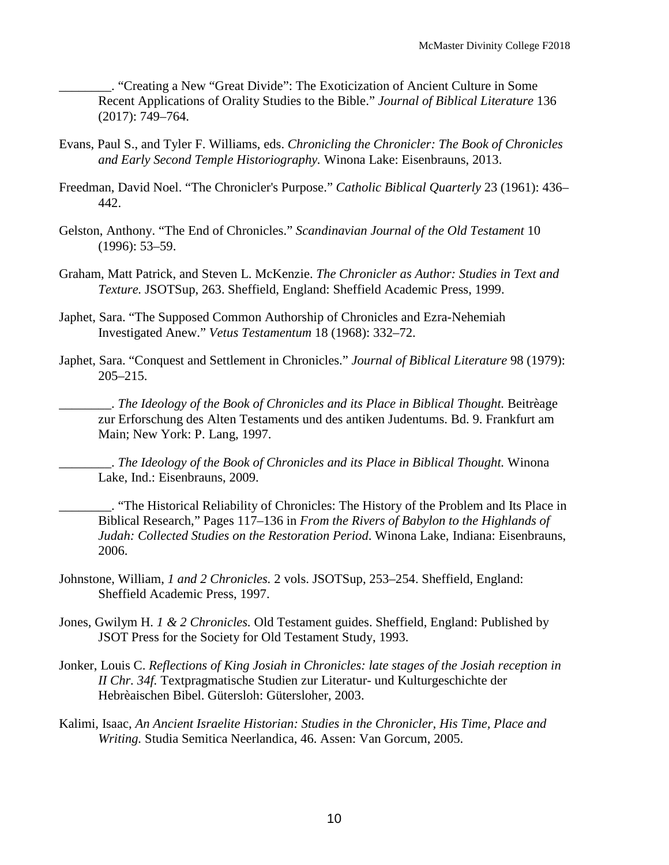\_\_\_\_\_\_\_\_. "Creating a New "Great Divide": The Exoticization of Ancient Culture in Some Recent Applications of Orality Studies to the Bible." *Journal of Biblical Literature* 136 (2017): 749–764.

- Evans, Paul S., and Tyler F. Williams, eds. *Chronicling the Chronicler: The Book of Chronicles and Early Second Temple Historiography.* Winona Lake: Eisenbrauns, 2013.
- Freedman, David Noel. "The Chronicler's Purpose." *Catholic Biblical Quarterly* 23 (1961): 436– 442.
- Gelston, Anthony. "The End of Chronicles." *Scandinavian Journal of the Old Testament* 10 (1996): 53–59.
- Graham, Matt Patrick, and Steven L. McKenzie. *The Chronicler as Author: Studies in Text and Texture.* JSOTSup, 263. Sheffield, England: Sheffield Academic Press, 1999.
- Japhet, Sara. "The Supposed Common Authorship of Chronicles and Ezra-Nehemiah Investigated Anew." *Vetus Testamentum* 18 (1968): 332–72.
- Japhet, Sara. "Conquest and Settlement in Chronicles." *Journal of Biblical Literature* 98 (1979): 205–215.

\_\_\_\_\_\_\_\_. *The Ideology of the Book of Chronicles and its Place in Biblical Thought.* Beitrèage zur Erforschung des Alten Testaments und des antiken Judentums. Bd. 9. Frankfurt am Main; New York: P. Lang, 1997.

\_\_\_\_\_\_\_\_. *The Ideology of the Book of Chronicles and its Place in Biblical Thought.* Winona Lake, Ind.: Eisenbrauns, 2009.

\_\_\_\_\_\_\_\_. "The Historical Reliability of Chronicles: The History of the Problem and Its Place in Biblical Research," Pages 117–136 in *From the Rivers of Babylon to the Highlands of Judah: Collected Studies on the Restoration Period*. Winona Lake, Indiana: Eisenbrauns, 2006.

- Johnstone, William, *1 and 2 Chronicles.* 2 vols. JSOTSup, 253–254. Sheffield, England: Sheffield Academic Press, 1997.
- Jones, Gwilym H. *1 & 2 Chronicles.* Old Testament guides. Sheffield, England: Published by JSOT Press for the Society for Old Testament Study, 1993.
- Jonker, Louis C. *Reflections of King Josiah in Chronicles: late stages of the Josiah reception in II Chr. 34f.* Textpragmatische Studien zur Literatur- und Kulturgeschichte der Hebrèaischen Bibel. Gütersloh: Gütersloher, 2003.
- Kalimi, Isaac, *An Ancient Israelite Historian: Studies in the Chronicler, His Time, Place and Writing.* Studia Semitica Neerlandica, 46. Assen: Van Gorcum, 2005.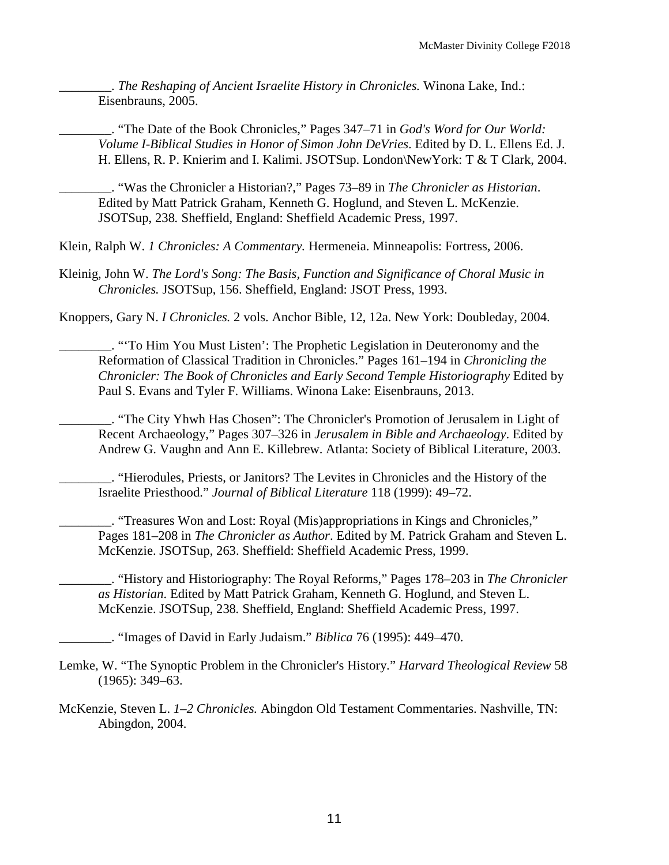\_\_\_\_\_\_\_\_. *The Reshaping of Ancient Israelite History in Chronicles.* Winona Lake, Ind.: Eisenbrauns, 2005.

\_\_\_\_\_\_\_\_. "The Date of the Book Chronicles," Pages 347–71 in *God's Word for Our World: Volume I-Biblical Studies in Honor of Simon John DeVries*. Edited by D. L. Ellens Ed. J. H. Ellens, R. P. Knierim and I. Kalimi. JSOTSup. London\NewYork: T & T Clark, 2004.

\_\_\_\_\_\_\_\_. "Was the Chronicler a Historian?," Pages 73–89 in *The Chronicler as Historian*. Edited by Matt Patrick Graham, Kenneth G. Hoglund, and Steven L. McKenzie. JSOTSup, 238*.* Sheffield, England: Sheffield Academic Press, 1997.

Klein, Ralph W. *1 Chronicles: A Commentary.* Hermeneia. Minneapolis: Fortress, 2006.

Kleinig, John W. *The Lord's Song: The Basis, Function and Significance of Choral Music in Chronicles.* JSOTSup, 156. Sheffield, England: JSOT Press, 1993.

Knoppers, Gary N. *I Chronicles.* 2 vols. Anchor Bible, 12, 12a. New York: Doubleday, 2004.

\_\_\_\_\_\_\_\_. "'To Him You Must Listen': The Prophetic Legislation in Deuteronomy and the Reformation of Classical Tradition in Chronicles." Pages 161–194 in *Chronicling the Chronicler: The Book of Chronicles and Early Second Temple Historiography* Edited by Paul S. Evans and Tyler F. Williams. Winona Lake: Eisenbrauns, 2013.

\_\_\_\_\_\_\_\_. "The City Yhwh Has Chosen": The Chronicler's Promotion of Jerusalem in Light of Recent Archaeology," Pages 307–326 in *Jerusalem in Bible and Archaeology*. Edited by Andrew G. Vaughn and Ann E. Killebrew. Atlanta: Society of Biblical Literature, 2003.

\_\_\_\_\_\_\_\_. "Hierodules, Priests, or Janitors? The Levites in Chronicles and the History of the Israelite Priesthood." *Journal of Biblical Literature* 118 (1999): 49–72.

\_\_\_\_\_\_\_\_. "Treasures Won and Lost: Royal (Mis)appropriations in Kings and Chronicles," Pages 181–208 in *The Chronicler as Author*. Edited by M. Patrick Graham and Steven L. McKenzie. JSOTSup, 263. Sheffield: Sheffield Academic Press, 1999.

\_\_\_\_\_\_\_\_. "History and Historiography: The Royal Reforms," Pages 178–203 in *The Chronicler as Historian*. Edited by Matt Patrick Graham, Kenneth G. Hoglund, and Steven L. McKenzie. JSOTSup, 238*.* Sheffield, England: Sheffield Academic Press, 1997.

\_\_\_\_\_\_\_\_. "Images of David in Early Judaism." *Biblica* 76 (1995): 449–470.

Lemke, W. "The Synoptic Problem in the Chronicler's History." *Harvard Theological Review* 58 (1965): 349–63.

McKenzie, Steven L. *1–2 Chronicles.* Abingdon Old Testament Commentaries. Nashville, TN: Abingdon, 2004.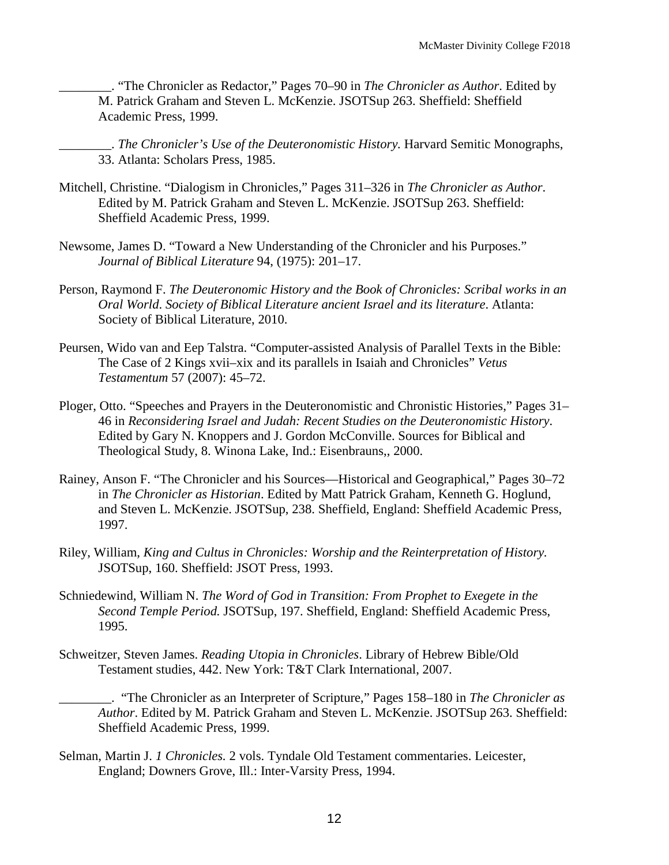\_\_\_\_\_\_\_\_. "The Chronicler as Redactor," Pages 70–90 in *The Chronicler as Author*. Edited by M. Patrick Graham and Steven L. McKenzie. JSOTSup 263. Sheffield: Sheffield Academic Press, 1999.

\_\_\_\_\_\_\_\_. *The Chronicler's Use of the Deuteronomistic History.* Harvard Semitic Monographs, 33. Atlanta: Scholars Press, 1985.

- Mitchell, Christine. "Dialogism in Chronicles," Pages 311–326 in *The Chronicler as Author*. Edited by M. Patrick Graham and Steven L. McKenzie. JSOTSup 263. Sheffield: Sheffield Academic Press, 1999.
- Newsome, James D. "Toward a New Understanding of the Chronicler and his Purposes." *Journal of Biblical Literature* 94, (1975): 201–17.
- Person, Raymond F. *The Deuteronomic History and the Book of Chronicles: Scribal works in an Oral World*. *Society of Biblical Literature ancient Israel and its literature*. Atlanta: Society of Biblical Literature, 2010.
- Peursen, Wido van and Eep Talstra. "Computer-assisted Analysis of Parallel Texts in the Bible: The Case of 2 Kings xvii–xix and its parallels in Isaiah and Chronicles" *Vetus Testamentum* 57 (2007): 45–72.
- Ploger, Otto. "Speeches and Prayers in the Deuteronomistic and Chronistic Histories," Pages 31– 46 in *Reconsidering Israel and Judah: Recent Studies on the Deuteronomistic History*. Edited by Gary N. Knoppers and J. Gordon McConville. Sources for Biblical and Theological Study, 8. Winona Lake, Ind.: Eisenbrauns,, 2000.
- Rainey, Anson F. "The Chronicler and his Sources—Historical and Geographical," Pages 30–72 in *The Chronicler as Historian*. Edited by Matt Patrick Graham, Kenneth G. Hoglund, and Steven L. McKenzie. JSOTSup, 238. Sheffield, England: Sheffield Academic Press, 1997.
- Riley, William, *King and Cultus in Chronicles: Worship and the Reinterpretation of History.* JSOTSup, 160. Sheffield: JSOT Press, 1993.
- Schniedewind, William N. *The Word of God in Transition: From Prophet to Exegete in the Second Temple Period.* JSOTSup, 197. Sheffield, England: Sheffield Academic Press, 1995.
- Schweitzer, Steven James. *Reading Utopia in Chronicles*. Library of Hebrew Bible/Old Testament studies, 442. New York: T&T Clark International, 2007.

\_\_\_\_\_\_\_\_. "The Chronicler as an Interpreter of Scripture," Pages 158–180 in *The Chronicler as Author*. Edited by M. Patrick Graham and Steven L. McKenzie. JSOTSup 263. Sheffield: Sheffield Academic Press, 1999.

Selman, Martin J. *1 Chronicles.* 2 vols. Tyndale Old Testament commentaries. Leicester, England; Downers Grove, Ill.: Inter-Varsity Press, 1994.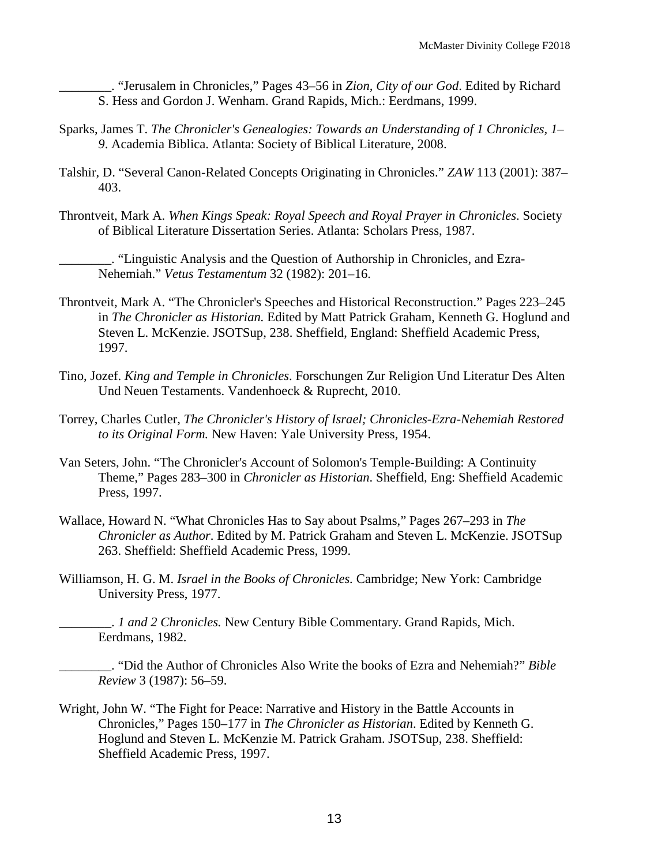\_\_\_\_\_\_\_\_. "Jerusalem in Chronicles," Pages 43–56 in *Zion, City of our God*. Edited by Richard S. Hess and Gordon J. Wenham. Grand Rapids, Mich.: Eerdmans, 1999.

- Sparks, James T. *The Chronicler's Genealogies: Towards an Understanding of 1 Chronicles, 1– 9*. Academia Biblica. Atlanta: Society of Biblical Literature, 2008.
- Talshir, D. "Several Canon-Related Concepts Originating in Chronicles." *ZAW* 113 (2001): 387– 403.
- Throntveit, Mark A. *When Kings Speak: Royal Speech and Royal Prayer in Chronicles*. Society of Biblical Literature Dissertation Series. Atlanta: Scholars Press, 1987.

\_\_\_\_\_\_\_\_. "Linguistic Analysis and the Question of Authorship in Chronicles, and Ezra-Nehemiah." *Vetus Testamentum* 32 (1982): 201–16.

- Throntveit, Mark A. "The Chronicler's Speeches and Historical Reconstruction." Pages 223–245 in *The Chronicler as Historian.* Edited by Matt Patrick Graham, Kenneth G. Hoglund and Steven L. McKenzie. JSOTSup, 238. Sheffield, England: Sheffield Academic Press, 1997.
- Tino, Jozef. *King and Temple in Chronicles*. Forschungen Zur Religion Und Literatur Des Alten Und Neuen Testaments. Vandenhoeck & Ruprecht, 2010.
- Torrey, Charles Cutler, *The Chronicler's History of Israel; Chronicles-Ezra-Nehemiah Restored to its Original Form.* New Haven: Yale University Press, 1954.
- Van Seters, John. "The Chronicler's Account of Solomon's Temple-Building: A Continuity Theme," Pages 283–300 in *Chronicler as Historian*. Sheffield, Eng: Sheffield Academic Press, 1997.
- Wallace, Howard N. "What Chronicles Has to Say about Psalms," Pages 267–293 in *The Chronicler as Author*. Edited by M. Patrick Graham and Steven L. McKenzie. JSOTSup 263. Sheffield: Sheffield Academic Press, 1999.
- Williamson, H. G. M. *Israel in the Books of Chronicles.* Cambridge; New York: Cambridge University Press, 1977.

\_\_\_\_\_\_\_\_. *1 and 2 Chronicles.* New Century Bible Commentary. Grand Rapids, Mich. Eerdmans, 1982.

\_\_\_\_\_\_\_\_. "Did the Author of Chronicles Also Write the books of Ezra and Nehemiah?" *Bible Review* 3 (1987): 56–59.

Wright, John W. "The Fight for Peace: Narrative and History in the Battle Accounts in Chronicles," Pages 150–177 in *The Chronicler as Historian*. Edited by Kenneth G. Hoglund and Steven L. McKenzie M. Patrick Graham. JSOTSup, 238. Sheffield: Sheffield Academic Press, 1997.